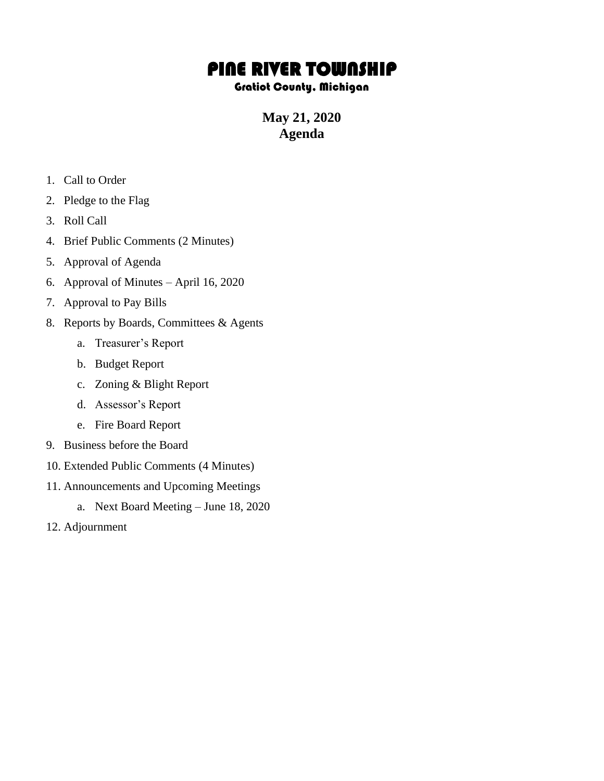## PINE RIVER TOWNSHIP

## Gratiot County, Michigan

**May 21, 2020 Agenda**

- 1. Call to Order
- 2. Pledge to the Flag
- 3. Roll Call
- 4. Brief Public Comments (2 Minutes)
- 5. Approval of Agenda
- 6. Approval of Minutes April 16, 2020
- 7. Approval to Pay Bills
- 8. Reports by Boards, Committees & Agents
	- a. Treasurer's Report
	- b. Budget Report
	- c. Zoning & Blight Report
	- d. Assessor's Report
	- e. Fire Board Report
- 9. Business before the Board
- 10. Extended Public Comments (4 Minutes)
- 11. Announcements and Upcoming Meetings
	- a. Next Board Meeting June 18, 2020
- 12. Adjournment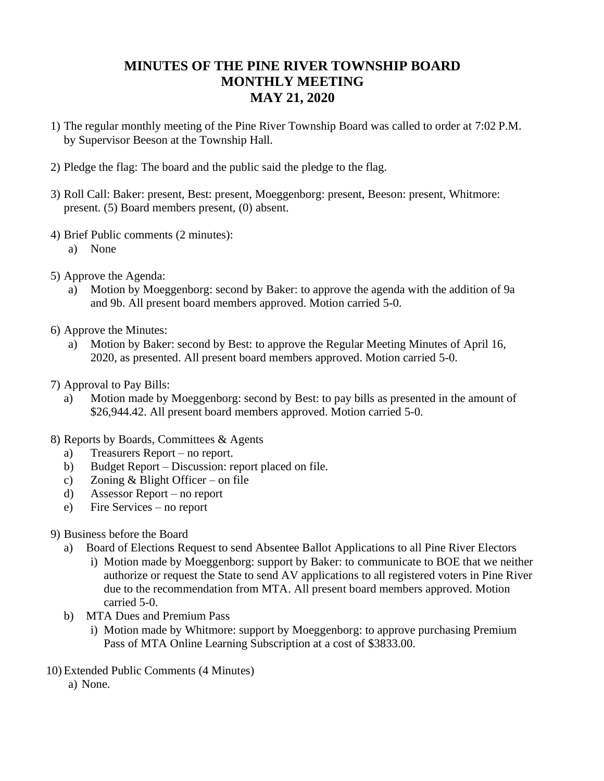## **MINUTES OF THE PINE RIVER TOWNSHIP BOARD MONTHLY MEETING MAY 21, 2020**

- 1) The regular monthly meeting of the Pine River Township Board was called to order at 7:02 P.M. by Supervisor Beeson at the Township Hall.
- 2) Pledge the flag: The board and the public said the pledge to the flag.
- 3) Roll Call: Baker: present, Best: present, Moeggenborg: present, Beeson: present, Whitmore: present. (5) Board members present, (0) absent.
- 4) Brief Public comments (2 minutes):
	- a) None
- 5) Approve the Agenda:
	- a) Motion by Moeggenborg: second by Baker: to approve the agenda with the addition of 9a and 9b. All present board members approved. Motion carried 5-0.
- 6) Approve the Minutes:
	- a) Motion by Baker: second by Best: to approve the Regular Meeting Minutes of April 16, 2020, as presented. All present board members approved. Motion carried 5-0.
- 7) Approval to Pay Bills:
	- a) Motion made by Moeggenborg: second by Best: to pay bills as presented in the amount of \$26,944.42. All present board members approved. Motion carried 5-0.
- 8) Reports by Boards, Committees & Agents
	- a) Treasurers Report no report.
	- b) Budget Report Discussion: report placed on file.
	- c) Zoning & Blight Officer on file
	- d) Assessor Report no report
	- e) Fire Services no report
- 9) Business before the Board
	- a) Board of Elections Request to send Absentee Ballot Applications to all Pine River Electors
		- i) Motion made by Moeggenborg: support by Baker: to communicate to BOE that we neither authorize or request the State to send AV applications to all registered voters in Pine River due to the recommendation from MTA. All present board members approved. Motion carried 5-0.
	- b) MTA Dues and Premium Pass
		- i) Motion made by Whitmore: support by Moeggenborg: to approve purchasing Premium Pass of MTA Online Learning Subscription at a cost of \$3833.00.
- 10) Extended Public Comments (4 Minutes)
	- a) None.